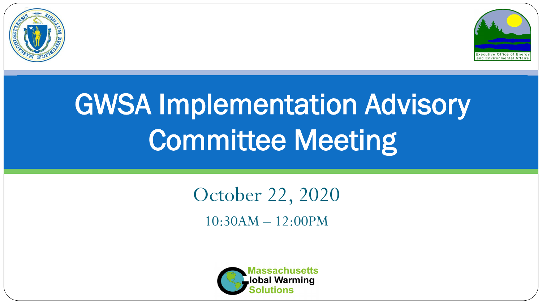



# GWSA Implementation Advisory Committee Meeting

October 22, 2020 10:30AM – 12:00PM

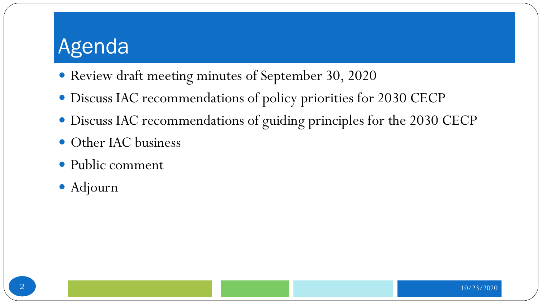#### Agenda

- Review draft meeting minutes of September 30, 2020
- Discuss IAC recommendations of policy priorities for 2030 CECP
- Discuss IAC recommendations of guiding principles for the 2030 CECP
- Other IAC business
- Public comment
- Adjourn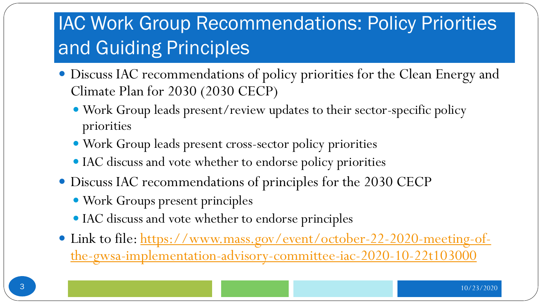## **IAC Work Group Recommendations: Policy Priorities** and Guiding Principles

- Discuss IAC recommendations of policy priorities for the Clean Energy and Climate Plan for 2030 (2030 CECP)
	- Work Group leads present/review updates to their sector-specific policy priorities
	- Work Group leads present cross-sector policy priorities
	- IAC discuss and vote whether to endorse policy priorities
- Discuss IAC recommendations of principles for the 2030 CECP
	- Work Groups present principles
	- IAC discuss and vote whether to endorse principles
- Link to file: https://www.mass.gov/event/october-22-2020-meeting-of[the-gwsa-implementation-advisory-committee-iac-2020-10-22t103000](https://www.mass.gov/event/october-22-2020-meeting-of-the-gwsa-implementation-advisory-committee-iac-2020-10-22t103000)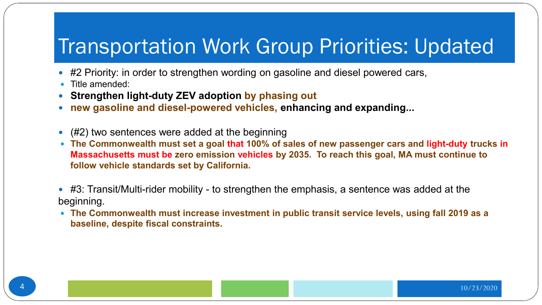#### Transportation Work Group Priorities: Updated

- #2 Priority: in order to strengthen wording on gasoline and diesel powered cars,
- Title amended:
- **Strengthen light-duty ZEV adoption by phasing out**
- **new gasoline and diesel-powered vehicles, enhancing and expanding...**
- (#2) two sentences were added at the beginning
- **The Commonwealth must set a goal that 100% of sales of new passenger cars and light-duty trucks in Massachusetts must be zero emission vehicles by 2035. To reach this goal, MA must continue to follow vehicle standards set by California.**
- #3: Transit/Multi-rider mobility to strengthen the emphasis, a sentence was added at the beginning.
- **The Commonwealth must increase investment in public transit service levels, using fall 2019 as a baseline, despite fiscal constraints.**